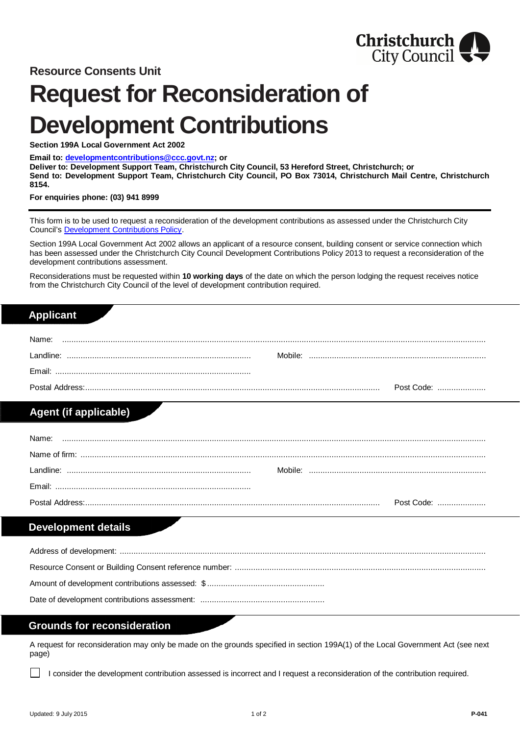

# **Request for Reconsideration of Development Contributions**

**Section 199A Local Government Act 2002**

#### **Email to: [developmentcontributions@ccc.govt.nz](mailto:developmentcontributions@ccc.govt.nz); or**

**Deliver to: Development Support Team, Christchurch City Council, 53 Hereford Street, Christchurch; or Send to: Development Support Team, Christchurch City Council, PO Box 73014, Christchurch Mail Centre, Christchurch 8154.**

**For enquiries phone: (03) 941 8999**

This form is to be used to request a reconsideration of the development contributions as assessed under the Christchurch City Council's [Development Contributions Policy](http://www.ccc.govt.nz/the-council/plans-strategies-policies-and-bylaws/policies/building-and-planning-policies/development-contributions-policy/).

Section 199A Local Government Act 2002 allows an applicant of a resource consent, building consent or service connection which has been assessed under the Christchurch City Council Development Contributions Policy 2013 to request a reconsideration of the development contributions assessment.

Reconsiderations must be requested within **10 working days** of the date on which the person lodging the request receives notice from the Christchurch City Council of the level of development contribution required.

#### **Applicant**

| Name:     |            |
|-----------|------------|
| Landline: | Mobile:    |
| Fmail:    |            |
|           | Post Code: |

## **Agent (if applicable)**

| Name: |            |
|-------|------------|
|       |            |
|       |            |
|       |            |
|       | Post Code: |

## **Development details**

### **Grounds for reconsideration**

A request for reconsideration may only be made on the grounds specified in section 199A(1) of the Local Government Act (see next page)

I consider the development contribution assessed is incorrect and I request a reconsideration of the contribution required.